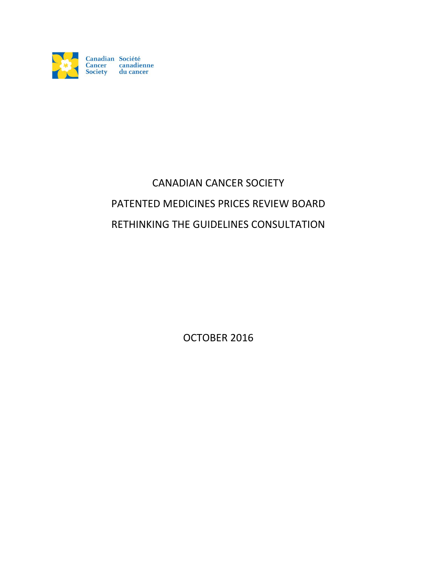

# CANADIAN CANCER SOCIETY PATENTED MEDICINES PRICES REVIEW BOARD RETHINKING THE GUIDELINES CONSULTATION

OCTOBER 2016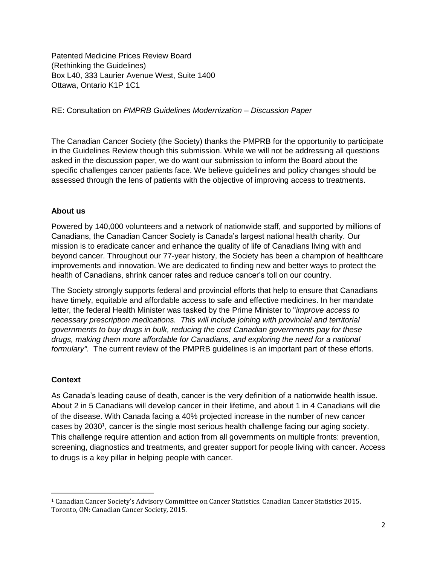Patented Medicine Prices Review Board (Rethinking the Guidelines) Box L40, 333 Laurier Avenue West, Suite 1400 Ottawa, Ontario K1P 1C1

RE: Consultation on *PMPRB Guidelines Modernization – Discussion Paper*

The Canadian Cancer Society (the Society) thanks the PMPRB for the opportunity to participate in the Guidelines Review though this submission. While we will not be addressing all questions asked in the discussion paper, we do want our submission to inform the Board about the specific challenges cancer patients face. We believe guidelines and policy changes should be assessed through the lens of patients with the objective of improving access to treatments.

## **About us**

Powered by 140,000 volunteers and a network of nationwide staff, and supported by millions of Canadians, the Canadian Cancer Society is Canada's largest national health charity. Our mission is to eradicate cancer and enhance the quality of life of Canadians living with and beyond cancer. Throughout our 77-year history, the Society has been a champion of healthcare improvements and innovation. We are dedicated to finding new and better ways to protect the health of Canadians, shrink cancer rates and reduce cancer's toll on our country.

The Society strongly supports federal and provincial efforts that help to ensure that Canadians have timely, equitable and affordable access to safe and effective medicines. In her mandate letter, the federal Health Minister was tasked by the Prime Minister to "*improve access to necessary prescription medications. This will include joining with provincial and territorial governments to buy drugs in bulk, reducing the cost Canadian governments pay for these drugs, making them more affordable for Canadians, and exploring the need for a national formulary".* The current review of the PMPRB guidelines is an important part of these efforts.

# **Context**

 $\overline{\phantom{a}}$ 

As Canada's leading cause of death, cancer is the very definition of a nationwide health issue. About 2 in 5 Canadians will develop cancer in their lifetime, and about 1 in 4 Canadians will die of the disease. With Canada facing a 40% projected increase in the number of new cancer cases by 2030<sup>1</sup>, cancer is the single most serious health challenge facing our aging society. This challenge require attention and action from all governments on multiple fronts: prevention, screening, diagnostics and treatments, and greater support for people living with cancer. Access to drugs is a key pillar in helping people with cancer.

<sup>1</sup> Canadian Cancer Society's Advisory Committee on Cancer Statistics. Canadian Cancer Statistics 2015. Toronto, ON: Canadian Cancer Society, 2015.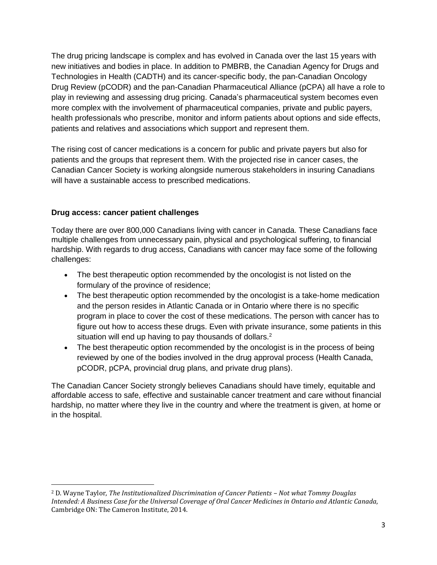The drug pricing landscape is complex and has evolved in Canada over the last 15 years with new initiatives and bodies in place. In addition to PMBRB, the Canadian Agency for Drugs and Technologies in Health (CADTH) and its cancer-specific body, the pan-Canadian Oncology Drug Review (pCODR) and the pan-Canadian Pharmaceutical Alliance (pCPA) all have a role to play in reviewing and assessing drug pricing. Canada's pharmaceutical system becomes even more complex with the involvement of pharmaceutical companies, private and public payers, health professionals who prescribe, monitor and inform patients about options and side effects, patients and relatives and associations which support and represent them.

The rising cost of cancer medications is a concern for public and private payers but also for patients and the groups that represent them. With the projected rise in cancer cases, the Canadian Cancer Society is working alongside numerous stakeholders in insuring Canadians will have a sustainable access to prescribed medications.

## **Drug access: cancer patient challenges**

 $\overline{\phantom{a}}$ 

Today there are over 800,000 Canadians living with cancer in Canada. These Canadians face multiple challenges from unnecessary pain, physical and psychological suffering, to financial hardship. With regards to drug access, Canadians with cancer may face some of the following challenges:

- The best therapeutic option recommended by the oncologist is not listed on the formulary of the province of residence;
- The best therapeutic option recommended by the oncologist is a take-home medication and the person resides in Atlantic Canada or in Ontario where there is no specific program in place to cover the cost of these medications. The person with cancer has to figure out how to access these drugs. Even with private insurance, some patients in this situation will end up having to pay thousands of dollars.<sup>2</sup>
- The best therapeutic option recommended by the oncologist is in the process of being reviewed by one of the bodies involved in the drug approval process (Health Canada, pCODR, pCPA, provincial drug plans, and private drug plans).

The Canadian Cancer Society strongly believes Canadians should have timely, equitable and affordable access to safe, effective and sustainable cancer treatment and care without financial hardship, no matter where they live in the country and where the treatment is given, at home or in the hospital.

<sup>2</sup> D. Wayne Taylor, *The Institutionalized Discrimination of Cancer Patients – Not what Tommy Douglas Intended: A Business Case for the Universal Coverage of Oral Cancer Medicines in Ontario and Atlantic Canada*, Cambridge ON: The Cameron Institute, 2014.